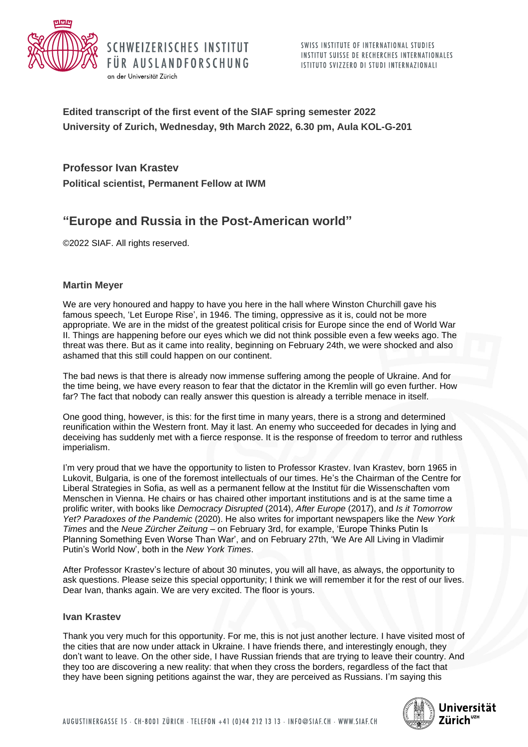



**Edited transcript of the first event of the SIAF spring semester 2022 University of Zurich, Wednesday, 9th March 2022, 6.30 pm, Aula KOL-G-201**

**Professor Ivan Krastev**

an der Universität Zürich

**Political scientist, Permanent Fellow at IWM**

SCHWEIZERISCHES INSTITUT

FÜR AUSLANDFORSCHUNG

# **"Europe and Russia in the Post-American world"**

©2022 SIAF. All rights reserved.

## **Martin Meyer**

We are very honoured and happy to have you here in the hall where Winston Churchill gave his famous speech, 'Let Europe Rise', in 1946. The timing, oppressive as it is, could not be more appropriate. We are in the midst of the greatest political crisis for Europe since the end of World War II. Things are happening before our eyes which we did not think possible even a few weeks ago. The threat was there. But as it came into reality, beginning on February 24th, we were shocked and also ashamed that this still could happen on our continent.

The bad news is that there is already now immense suffering among the people of Ukraine. And for the time being, we have every reason to fear that the dictator in the Kremlin will go even further. How far? The fact that nobody can really answer this question is already a terrible menace in itself.

One good thing, however, is this: for the first time in many years, there is a strong and determined reunification within the Western front. May it last. An enemy who succeeded for decades in lying and deceiving has suddenly met with a fierce response. It is the response of freedom to terror and ruthless imperialism.

I'm very proud that we have the opportunity to listen to Professor Krastev. Ivan Krastev, born 1965 in Lukovit, Bulgaria, is one of the foremost intellectuals of our times. He's the Chairman of the Centre for Liberal Strategies in Sofia, as well as a permanent fellow at the Institut für die Wissenschaften vom Menschen in Vienna. He chairs or has chaired other important institutions and is at the same time a prolific writer, with books like *Democracy Disrupted* (2014), *After Europe* (2017), and *Is it Tomorrow Yet? Paradoxes of the Pandemic* (2020). He also writes for important newspapers like the *New York Times* and the *Neue Zürcher Zeitung* – on February 3rd, for example, 'Europe Thinks Putin Is Planning Something Even Worse Than War', and on February 27th, 'We Are All Living in Vladimir Putin's World Now', both in the *New York Times*.

After Professor Krastev's lecture of about 30 minutes, you will all have, as always, the opportunity to ask questions. Please seize this special opportunity; I think we will remember it for the rest of our lives. Dear Ivan, thanks again. We are very excited. The floor is yours.

## **Ivan Krastev**

Thank you very much for this opportunity. For me, this is not just another lecture. I have visited most of the cities that are now under attack in Ukraine. I have friends there, and interestingly enough, they don't want to leave. On the other side, I have Russian friends that are trying to leave their country. And they too are discovering a new reality: that when they cross the borders, regardless of the fact that they have been signing petitions against the war, they are perceived as Russians. I'm saying this

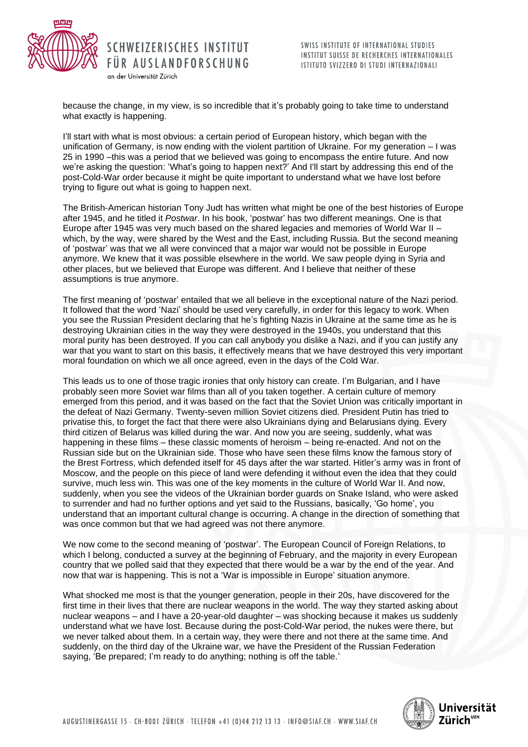

an der Universität Zürich

SCHWEIZERISCHES INSTITUT SWISS INSTITUTE OF INTERNATIONAL STUDIES INSTITUT SUISSE DE RECHERCHES INTERNATIONALES

FÜR AUSLANDFORSCHUNG ISTITUTO SVIZZERO DI STUDI INTERNAZIONALI

because the change, in my view, is so incredible that it's probably going to take time to understand what exactly is happening.

I'll start with what is most obvious: a certain period of European history, which began with the unification of Germany, is now ending with the violent partition of Ukraine. For my generation – I was 25 in 1990 –this was a period that we believed was going to encompass the entire future. And now we're asking the question: 'What's going to happen next?' And I'll start by addressing this end of the post-Cold-War order because it might be quite important to understand what we have lost before trying to figure out what is going to happen next.

The British-American historian Tony Judt has written what might be one of the best histories of Europe after 1945, and he titled it *Postwar*. In his book, 'postwar' has two different meanings. One is that Europe after 1945 was very much based on the shared legacies and memories of World War II – which, by the way, were shared by the West and the East, including Russia. But the second meaning of 'postwar' was that we all were convinced that a major war would not be possible in Europe anymore. We knew that it was possible elsewhere in the world. We saw people dying in Syria and other places, but we believed that Europe was different. And I believe that neither of these assumptions is true anymore.

The first meaning of 'postwar' entailed that we all believe in the exceptional nature of the Nazi period. It followed that the word 'Nazi' should be used very carefully, in order for this legacy to work. When you see the Russian President declaring that he's fighting Nazis in Ukraine at the same time as he is destroying Ukrainian cities in the way they were destroyed in the 1940s, you understand that this moral purity has been destroyed. If you can call anybody you dislike a Nazi, and if you can justify any war that you want to start on this basis, it effectively means that we have destroyed this very important moral foundation on which we all once agreed, even in the days of the Cold War.

This leads us to one of those tragic ironies that only history can create. I'm Bulgarian, and I have probably seen more Soviet war films than all of you taken together. A certain culture of memory emerged from this period, and it was based on the fact that the Soviet Union was critically important in the defeat of Nazi Germany. Twenty-seven million Soviet citizens died. President Putin has tried to privatise this, to forget the fact that there were also Ukrainians dying and Belarusians dying. Every third citizen of Belarus was killed during the war. And now you are seeing, suddenly, what was happening in these films – these classic moments of heroism – being re-enacted. And not on the Russian side but on the Ukrainian side. Those who have seen these films know the famous story of the Brest Fortress, which defended itself for 45 days after the war started. Hitler's army was in front of Moscow, and the people on this piece of land were defending it without even the idea that they could survive, much less win. This was one of the key moments in the culture of World War II. And now, suddenly, when you see the videos of the Ukrainian border guards on Snake Island, who were asked to surrender and had no further options and yet said to the Russians, basically, 'Go home', you understand that an important cultural change is occurring. A change in the direction of something that was once common but that we had agreed was not there anymore.

We now come to the second meaning of 'postwar'. The European Council of Foreign Relations, to which I belong, conducted a survey at the beginning of February, and the majority in every European country that we polled said that they expected that there would be a war by the end of the year. And now that war is happening. This is not a 'War is impossible in Europe' situation anymore.

What shocked me most is that the younger generation, people in their 20s, have discovered for the first time in their lives that there are nuclear weapons in the world. The way they started asking about nuclear weapons – and I have a 20-year-old daughter – was shocking because it makes us suddenly understand what we have lost. Because during the post-Cold-War period, the nukes were there, but we never talked about them. In a certain way, they were there and not there at the same time. And suddenly, on the third day of the Ukraine war, we have the President of the Russian Federation saying, 'Be prepared; I'm ready to do anything; nothing is off the table.'

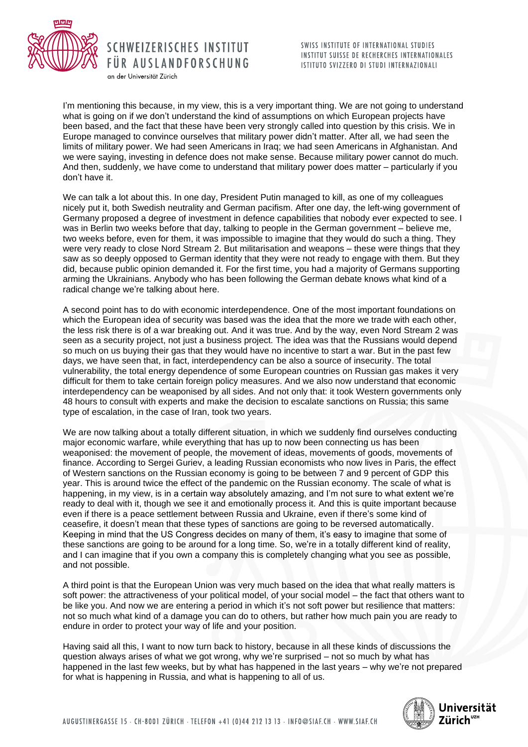

SWISS INSTITUTE OF INTERNATIONAL STUDIES INSTITUT SUISSE DE RECHERCHES INTERNATIONALES ISTITUTO SVIZZERO DI STUDI INTERNAZIONALI

an der Universität Zürich

I'm mentioning this because, in my view, this is a very important thing. We are not going to understand what is going on if we don't understand the kind of assumptions on which European projects have been based, and the fact that these have been very strongly called into question by this crisis. We in Europe managed to convince ourselves that military power didn't matter. After all, we had seen the limits of military power. We had seen Americans in Iraq; we had seen Americans in Afghanistan. And we were saying, investing in defence does not make sense. Because military power cannot do much. And then, suddenly, we have come to understand that military power does matter – particularly if you don't have it.

We can talk a lot about this. In one day, President Putin managed to kill, as one of my colleagues nicely put it, both Swedish neutrality and German pacifism. After one day, the left-wing government of Germany proposed a degree of investment in defence capabilities that nobody ever expected to see. I was in Berlin two weeks before that day, talking to people in the German government – believe me, two weeks before, even for them, it was impossible to imagine that they would do such a thing. They were very ready to close Nord Stream 2. But militarisation and weapons – these were things that they saw as so deeply opposed to German identity that they were not ready to engage with them. But they did, because public opinion demanded it. For the first time, you had a majority of Germans supporting arming the Ukrainians. Anybody who has been following the German debate knows what kind of a radical change we're talking about here.

A second point has to do with economic interdependence. One of the most important foundations on which the European idea of security was based was the idea that the more we trade with each other, the less risk there is of a war breaking out. And it was true. And by the way, even Nord Stream 2 was seen as a security project, not just a business project. The idea was that the Russians would depend so much on us buying their gas that they would have no incentive to start a war. But in the past few days, we have seen that, in fact, interdependency can be also a source of insecurity. The total vulnerability, the total energy dependence of some European countries on Russian gas makes it very difficult for them to take certain foreign policy measures. And we also now understand that economic interdependency can be weaponised by all sides. And not only that: it took Western governments only 48 hours to consult with experts and make the decision to escalate sanctions on Russia; this same type of escalation, in the case of Iran, took two years.

We are now talking about a totally different situation, in which we suddenly find ourselves conducting major economic warfare, while everything that has up to now been connecting us has been weaponised: the movement of people, the movement of ideas, movements of goods, movements of finance. According to Sergei Guriev, a leading Russian economists who now lives in Paris, the effect of Western sanctions on the Russian economy is going to be between 7 and 9 percent of GDP this year. This is around twice the effect of the pandemic on the Russian economy. The scale of what is happening, in my view, is in a certain way absolutely amazing, and I'm not sure to what extent we're ready to deal with it, though we see it and emotionally process it. And this is quite important because even if there is a peace settlement between Russia and Ukraine, even if there's some kind of ceasefire, it doesn't mean that these types of sanctions are going to be reversed automatically. Keeping in mind that the US Congress decides on many of them, it's easy to imagine that some of these sanctions are going to be around for a long time. So, we're in a totally different kind of reality, and I can imagine that if you own a company this is completely changing what you see as possible, and not possible.

A third point is that the European Union was very much based on the idea that what really matters is soft power: the attractiveness of your political model, of your social model – the fact that others want to be like you. And now we are entering a period in which it's not soft power but resilience that matters: not so much what kind of a damage you can do to others, but rather how much pain you are ready to endure in order to protect your way of life and your position.

Having said all this, I want to now turn back to history, because in all these kinds of discussions the question always arises of what we got wrong, why we're surprised – not so much by what has happened in the last few weeks, but by what has happened in the last years – why we're not prepared for what is happening in Russia, and what is happening to all of us.

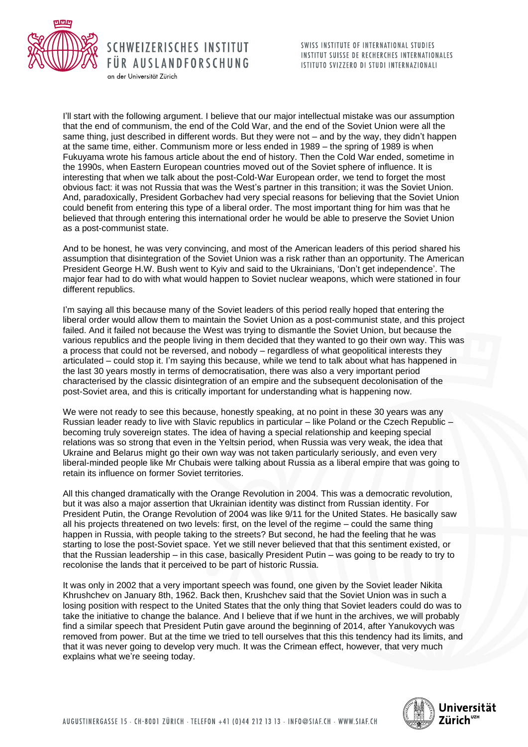

I'll start with the following argument. I believe that our major intellectual mistake was our assumption that the end of communism, the end of the Cold War, and the end of the Soviet Union were all the same thing, just described in different words. But they were not – and by the way, they didn't happen at the same time, either. Communism more or less ended in 1989 – the spring of 1989 is when Fukuyama wrote his famous article about the end of history. Then the Cold War ended, sometime in the 1990s, when Eastern European countries moved out of the Soviet sphere of influence. It is interesting that when we talk about the post-Cold-War European order, we tend to forget the most obvious fact: it was not Russia that was the West's partner in this transition; it was the Soviet Union. And, paradoxically, President Gorbachev had very special reasons for believing that the Soviet Union could benefit from entering this type of a liberal order. The most important thing for him was that he believed that through entering this international order he would be able to preserve the Soviet Union as a post-communist state.

SCHWEIZERISCHES INSTITUT

FÜR AUSLANDFORSCHUNG

an der Universität Zürich

And to be honest, he was very convincing, and most of the American leaders of this period shared his assumption that disintegration of the Soviet Union was a risk rather than an opportunity. The American President George H.W. Bush went to Kyiv and said to the Ukrainians, 'Don't get independence'. The major fear had to do with what would happen to Soviet nuclear weapons, which were stationed in four different republics.

I'm saying all this because many of the Soviet leaders of this period really hoped that entering the liberal order would allow them to maintain the Soviet Union as a post-communist state, and this project failed. And it failed not because the West was trying to dismantle the Soviet Union, but because the various republics and the people living in them decided that they wanted to go their own way. This was a process that could not be reversed, and nobody – regardless of what geopolitical interests they articulated – could stop it. I'm saying this because, while we tend to talk about what has happened in the last 30 years mostly in terms of democratisation, there was also a very important period characterised by the classic disintegration of an empire and the subsequent decolonisation of the post-Soviet area, and this is critically important for understanding what is happening now.

We were not ready to see this because, honestly speaking, at no point in these 30 years was any Russian leader ready to live with Slavic republics in particular – like Poland or the Czech Republic – becoming truly sovereign states. The idea of having a special relationship and keeping special relations was so strong that even in the Yeltsin period, when Russia was very weak, the idea that Ukraine and Belarus might go their own way was not taken particularly seriously, and even very liberal-minded people like Mr Chubais were talking about Russia as a liberal empire that was going to retain its influence on former Soviet territories.

All this changed dramatically with the Orange Revolution in 2004. This was a democratic revolution, but it was also a major assertion that Ukrainian identity was distinct from Russian identity. For President Putin, the Orange Revolution of 2004 was like 9/11 for the United States. He basically saw all his projects threatened on two levels: first, on the level of the regime – could the same thing happen in Russia, with people taking to the streets? But second, he had the feeling that he was starting to lose the post-Soviet space. Yet we still never believed that that this sentiment existed, or that the Russian leadership – in this case, basically President Putin – was going to be ready to try to recolonise the lands that it perceived to be part of historic Russia.

It was only in 2002 that a very important speech was found, one given by the Soviet leader Nikita Khrushchev on January 8th, 1962. Back then, Krushchev said that the Soviet Union was in such a losing position with respect to the United States that the only thing that Soviet leaders could do was to take the initiative to change the balance. And I believe that if we hunt in the archives, we will probably find a similar speech that President Putin gave around the beginning of 2014, after Yanukovych was removed from power. But at the time we tried to tell ourselves that this this tendency had its limits, and that it was never going to develop very much. It was the Crimean effect, however, that very much explains what we're seeing today.

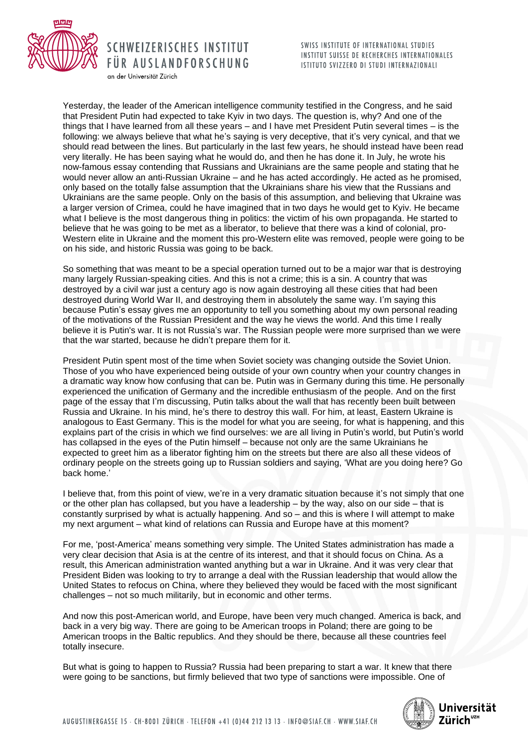

an der Universität Zürich

SWISS INSTITUTE OF INTERNATIONAL STUDIES INSTITUT SUISSE DE RECHERCHES INTERNATIONALES ISTITUTO SVIZZERO DI STUDI INTERNAZIONALI

Yesterday, the leader of the American intelligence community testified in the Congress, and he said that President Putin had expected to take Kyiv in two days. The question is, why? And one of the things that I have learned from all these years – and I have met President Putin several times – is the following: we always believe that what he's saying is very deceptive, that it's very cynical, and that we should read between the lines. But particularly in the last few years, he should instead have been read very literally. He has been saying what he would do, and then he has done it. In July, he wrote his now-famous essay contending that Russians and Ukrainians are the same people and stating that he would never allow an anti-Russian Ukraine – and he has acted accordingly. He acted as he promised, only based on the totally false assumption that the Ukrainians share his view that the Russians and Ukrainians are the same people. Only on the basis of this assumption, and believing that Ukraine was a larger version of Crimea, could he have imagined that in two days he would get to Kyiv. He became what I believe is the most dangerous thing in politics: the victim of his own propaganda. He started to believe that he was going to be met as a liberator, to believe that there was a kind of colonial, pro-Western elite in Ukraine and the moment this pro-Western elite was removed, people were going to be on his side, and historic Russia was going to be back.

So something that was meant to be a special operation turned out to be a major war that is destroying many largely Russian-speaking cities. And this is not a crime; this is a sin. A country that was destroyed by a civil war just a century ago is now again destroying all these cities that had been destroyed during World War II, and destroying them in absolutely the same way. I'm saying this because Putin's essay gives me an opportunity to tell you something about my own personal reading of the motivations of the Russian President and the way he views the world. And this time I really believe it is Putin's war. It is not Russia's war. The Russian people were more surprised than we were that the war started, because he didn't prepare them for it.

President Putin spent most of the time when Soviet society was changing outside the Soviet Union. Those of you who have experienced being outside of your own country when your country changes in a dramatic way know how confusing that can be. Putin was in Germany during this time. He personally experienced the unification of Germany and the incredible enthusiasm of the people. And on the first page of the essay that I'm discussing, Putin talks about the wall that has recently been built between Russia and Ukraine. In his mind, he's there to destroy this wall. For him, at least, Eastern Ukraine is analogous to East Germany. This is the model for what you are seeing, for what is happening, and this explains part of the crisis in which we find ourselves: we are all living in Putin's world, but Putin's world has collapsed in the eyes of the Putin himself – because not only are the same Ukrainians he expected to greet him as a liberator fighting him on the streets but there are also all these videos of ordinary people on the streets going up to Russian soldiers and saying, 'What are you doing here? Go back home.'

I believe that, from this point of view, we're in a very dramatic situation because it's not simply that one or the other plan has collapsed, but you have a leadership – by the way, also on our side – that is constantly surprised by what is actually happening. And so – and this is where I will attempt to make my next argument – what kind of relations can Russia and Europe have at this moment?

For me, 'post-America' means something very simple. The United States administration has made a very clear decision that Asia is at the centre of its interest, and that it should focus on China. As a result, this American administration wanted anything but a war in Ukraine. And it was very clear that President Biden was looking to try to arrange a deal with the Russian leadership that would allow the United States to refocus on China, where they believed they would be faced with the most significant challenges – not so much militarily, but in economic and other terms.

And now this post-American world, and Europe, have been very much changed. America is back, and back in a very big way. There are going to be American troops in Poland; there are going to be American troops in the Baltic republics. And they should be there, because all these countries feel totally insecure.

But what is going to happen to Russia? Russia had been preparing to start a war. It knew that there were going to be sanctions, but firmly believed that two type of sanctions were impossible. One of

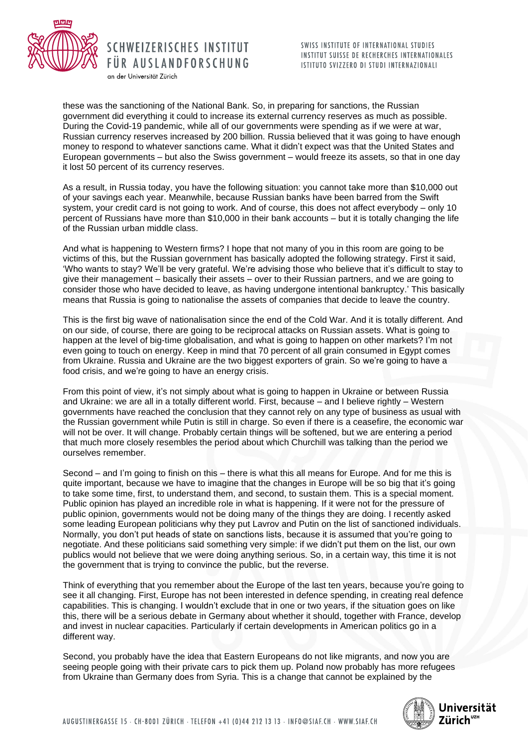

an der Universität Zürich

SWISS INSTITUTE OF INTERNATIONAL STUDIES INSTITUT SUISSE DE RECHERCHES INTERNATIONALES ISTITUTO SVIZZERO DI STUDI INTERNAZIONALI

these was the sanctioning of the National Bank. So, in preparing for sanctions, the Russian government did everything it could to increase its external currency reserves as much as possible. During the Covid-19 pandemic, while all of our governments were spending as if we were at war, Russian currency reserves increased by 200 billion. Russia believed that it was going to have enough money to respond to whatever sanctions came. What it didn't expect was that the United States and European governments – but also the Swiss government – would freeze its assets, so that in one day it lost 50 percent of its currency reserves.

As a result, in Russia today, you have the following situation: you cannot take more than \$10,000 out of your savings each year. Meanwhile, because Russian banks have been barred from the Swift system, your credit card is not going to work. And of course, this does not affect everybody – only 10 percent of Russians have more than \$10,000 in their bank accounts – but it is totally changing the life of the Russian urban middle class.

And what is happening to Western firms? I hope that not many of you in this room are going to be victims of this, but the Russian government has basically adopted the following strategy. First it said, 'Who wants to stay? We'll be very grateful. We're advising those who believe that it's difficult to stay to give their management – basically their assets – over to their Russian partners, and we are going to consider those who have decided to leave, as having undergone intentional bankruptcy.' This basically means that Russia is going to nationalise the assets of companies that decide to leave the country.

This is the first big wave of nationalisation since the end of the Cold War. And it is totally different. And on our side, of course, there are going to be reciprocal attacks on Russian assets. What is going to happen at the level of big-time globalisation, and what is going to happen on other markets? I'm not even going to touch on energy. Keep in mind that 70 percent of all grain consumed in Egypt comes from Ukraine. Russia and Ukraine are the two biggest exporters of grain. So we're going to have a food crisis, and we're going to have an energy crisis.

From this point of view, it's not simply about what is going to happen in Ukraine or between Russia and Ukraine: we are all in a totally different world. First, because – and I believe rightly – Western governments have reached the conclusion that they cannot rely on any type of business as usual with the Russian government while Putin is still in charge. So even if there is a ceasefire, the economic war will not be over. It will change. Probably certain things will be softened, but we are entering a period that much more closely resembles the period about which Churchill was talking than the period we ourselves remember.

Second – and I'm going to finish on this – there is what this all means for Europe. And for me this is quite important, because we have to imagine that the changes in Europe will be so big that it's going to take some time, first, to understand them, and second, to sustain them. This is a special moment. Public opinion has played an incredible role in what is happening. If it were not for the pressure of public opinion, governments would not be doing many of the things they are doing. I recently asked some leading European politicians why they put Lavrov and Putin on the list of sanctioned individuals. Normally, you don't put heads of state on sanctions lists, because it is assumed that you're going to negotiate. And these politicians said something very simple: if we didn't put them on the list, our own publics would not believe that we were doing anything serious. So, in a certain way, this time it is not the government that is trying to convince the public, but the reverse.

Think of everything that you remember about the Europe of the last ten years, because you're going to see it all changing. First, Europe has not been interested in defence spending, in creating real defence capabilities. This is changing. I wouldn't exclude that in one or two years, if the situation goes on like this, there will be a serious debate in Germany about whether it should, together with France, develop and invest in nuclear capacities. Particularly if certain developments in American politics go in a different way.

Second, you probably have the idea that Eastern Europeans do not like migrants, and now you are seeing people going with their private cars to pick them up. Poland now probably has more refugees from Ukraine than Germany does from Syria. This is a change that cannot be explained by the

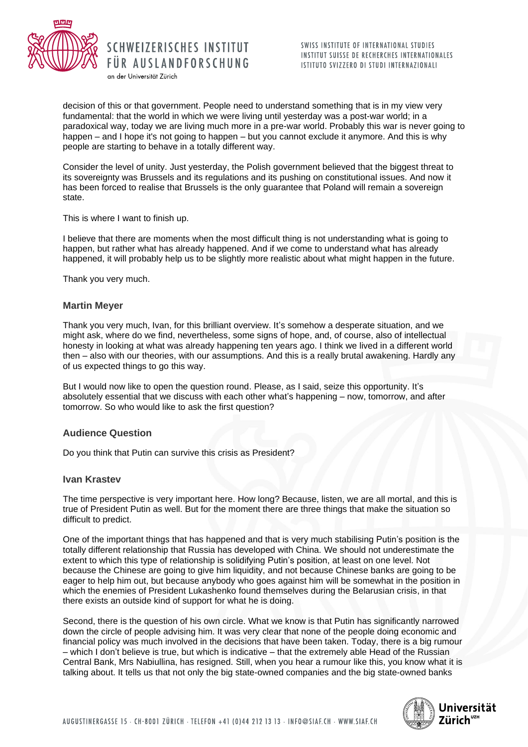

SWISS INSTITUTE OF INTERNATIONAL STUDIES INSTITUT SUISSE DE RECHERCHES INTERNATIONALES ISTITUTO SVIZZERO DI STUDI INTERNAZIONALI

decision of this or that government. People need to understand something that is in my view very fundamental: that the world in which we were living until yesterday was a post-war world; in a paradoxical way, today we are living much more in a pre-war world. Probably this war is never going to happen – and I hope it's not going to happen – but you cannot exclude it anymore. And this is why people are starting to behave in a totally different way.

Consider the level of unity. Just yesterday, the Polish government believed that the biggest threat to its sovereignty was Brussels and its regulations and its pushing on constitutional issues. And now it has been forced to realise that Brussels is the only guarantee that Poland will remain a sovereign state.

This is where I want to finish up.

I believe that there are moments when the most difficult thing is not understanding what is going to happen, but rather what has already happened. And if we come to understand what has already happened, it will probably help us to be slightly more realistic about what might happen in the future.

Thank you very much.

### **Martin Meyer**

Thank you very much, Ivan, for this brilliant overview. It's somehow a desperate situation, and we might ask, where do we find, nevertheless, some signs of hope, and, of course, also of intellectual honesty in looking at what was already happening ten years ago. I think we lived in a different world then – also with our theories, with our assumptions. And this is a really brutal awakening. Hardly any of us expected things to go this way.

But I would now like to open the question round. Please, as I said, seize this opportunity. It's absolutely essential that we discuss with each other what's happening – now, tomorrow, and after tomorrow. So who would like to ask the first question?

#### **Audience Question**

Do you think that Putin can survive this crisis as President?

SCHWEIZERISCHES INSTITUT

FÜR AUSLANDFORSCHUNG

an der Universität Zürich

#### **Ivan Krastev**

The time perspective is very important here. How long? Because, listen, we are all mortal, and this is true of President Putin as well. But for the moment there are three things that make the situation so difficult to predict.

One of the important things that has happened and that is very much stabilising Putin's position is the totally different relationship that Russia has developed with China. We should not underestimate the extent to which this type of relationship is solidifying Putin's position, at least on one level. Not because the Chinese are going to give him liquidity, and not because Chinese banks are going to be eager to help him out, but because anybody who goes against him will be somewhat in the position in which the enemies of President Lukashenko found themselves during the Belarusian crisis, in that there exists an outside kind of support for what he is doing.

Second, there is the question of his own circle. What we know is that Putin has significantly narrowed down the circle of people advising him. It was very clear that none of the people doing economic and financial policy was much involved in the decisions that have been taken. Today, there is a big rumour – which I don't believe is true, but which is indicative – that the extremely able Head of the Russian Central Bank, Mrs Nabiullina, has resigned. Still, when you hear a rumour like this, you know what it is talking about. It tells us that not only the big state-owned companies and the big state-owned banks

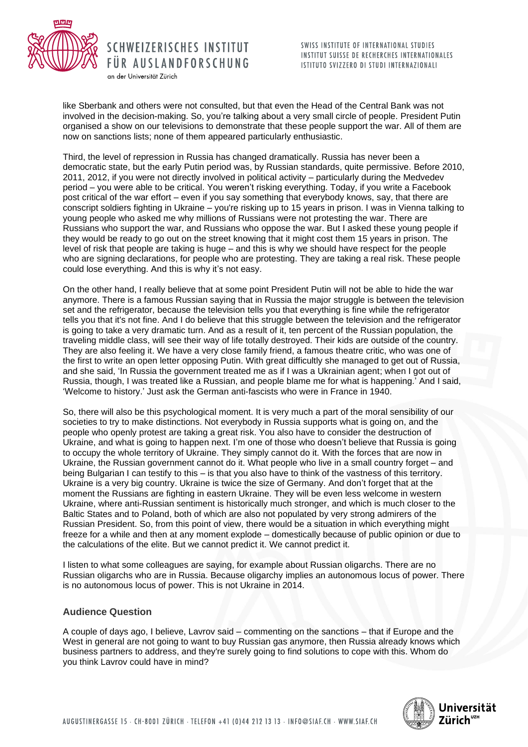

an der Universität Zürich

SWISS INSTITUTE OF INTERNATIONAL STUDIES INSTITUT SUISSE DE RECHERCHES INTERNATIONALES ISTITUTO SVIZZERO DI STUDI INTERNAZIONALI

like Sberbank and others were not consulted, but that even the Head of the Central Bank was not involved in the decision-making. So, you're talking about a very small circle of people. President Putin organised a show on our televisions to demonstrate that these people support the war. All of them are now on sanctions lists; none of them appeared particularly enthusiastic.

Third, the level of repression in Russia has changed dramatically. Russia has never been a democratic state, but the early Putin period was, by Russian standards, quite permissive. Before 2010, 2011, 2012, if you were not directly involved in political activity – particularly during the Medvedev period – you were able to be critical. You weren't risking everything. Today, if you write a Facebook post critical of the war effort – even if you say something that everybody knows, say, that there are conscript soldiers fighting in Ukraine – you're risking up to 15 years in prison. I was in Vienna talking to young people who asked me why millions of Russians were not protesting the war. There are Russians who support the war, and Russians who oppose the war. But I asked these young people if they would be ready to go out on the street knowing that it might cost them 15 years in prison. The level of risk that people are taking is huge – and this is why we should have respect for the people who are signing declarations, for people who are protesting. They are taking a real risk. These people could lose everything. And this is why it's not easy.

On the other hand, I really believe that at some point President Putin will not be able to hide the war anymore. There is a famous Russian saying that in Russia the major struggle is between the television set and the refrigerator, because the television tells you that everything is fine while the refrigerator tells you that it's not fine. And I do believe that this struggle between the television and the refrigerator is going to take a very dramatic turn. And as a result of it, ten percent of the Russian population, the traveling middle class, will see their way of life totally destroyed. Their kids are outside of the country. They are also feeling it. We have a very close family friend, a famous theatre critic, who was one of the first to write an open letter opposing Putin. With great difficultly she managed to get out of Russia, and she said, 'In Russia the government treated me as if I was a Ukrainian agent; when I got out of Russia, though, I was treated like a Russian, and people blame me for what is happening.' And I said, 'Welcome to history.' Just ask the German anti-fascists who were in France in 1940.

So, there will also be this psychological moment. It is very much a part of the moral sensibility of our societies to try to make distinctions. Not everybody in Russia supports what is going on, and the people who openly protest are taking a great risk. You also have to consider the destruction of Ukraine, and what is going to happen next. I'm one of those who doesn't believe that Russia is going to occupy the whole territory of Ukraine. They simply cannot do it. With the forces that are now in Ukraine, the Russian government cannot do it. What people who live in a small country forget – and being Bulgarian I can testify to this – is that you also have to think of the vastness of this territory. Ukraine is a very big country. Ukraine is twice the size of Germany. And don't forget that at the moment the Russians are fighting in eastern Ukraine. They will be even less welcome in western Ukraine, where anti-Russian sentiment is historically much stronger, and which is much closer to the Baltic States and to Poland, both of which are also not populated by very strong admirers of the Russian President. So, from this point of view, there would be a situation in which everything might freeze for a while and then at any moment explode – domestically because of public opinion or due to the calculations of the elite. But we cannot predict it. We cannot predict it.

I listen to what some colleagues are saying, for example about Russian oligarchs. There are no Russian oligarchs who are in Russia. Because oligarchy implies an autonomous locus of power. There is no autonomous locus of power. This is not Ukraine in 2014.

## **Audience Question**

A couple of days ago, I believe, Lavrov said – commenting on the sanctions – that if Europe and the West in general are not going to want to buy Russian gas anymore, then Russia already knows which business partners to address, and they're surely going to find solutions to cope with this. Whom do you think Lavrov could have in mind?

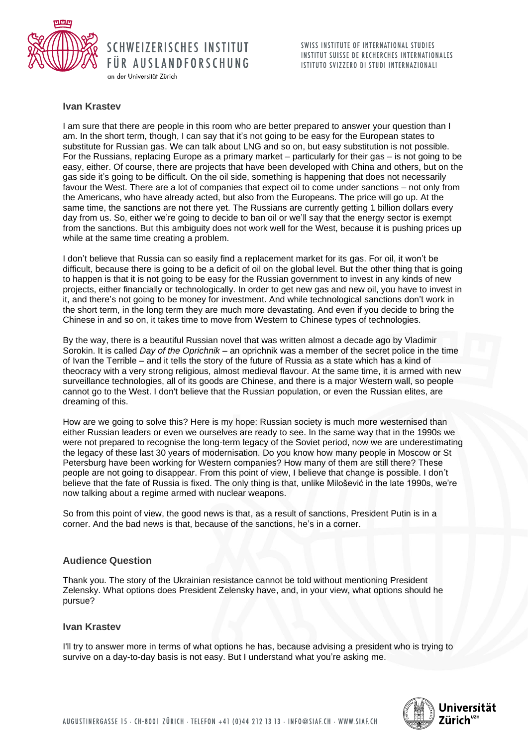

SWISS INSTITUTE OF INTERNATIONAL STUDIES INSTITUT SUISSE DE RECHERCHES INTERNATIONALES ISTITUTO SVIZZERO DI STUDI INTERNAZIONALI

#### an der Universität Zürich

### **Ivan Krastev**

I am sure that there are people in this room who are better prepared to answer your question than I am. In the short term, though, I can say that it's not going to be easy for the European states to substitute for Russian gas. We can talk about LNG and so on, but easy substitution is not possible. For the Russians, replacing Europe as a primary market – particularly for their gas – is not going to be easy, either. Of course, there are projects that have been developed with China and others, but on the gas side it's going to be difficult. On the oil side, something is happening that does not necessarily favour the West. There are a lot of companies that expect oil to come under sanctions – not only from the Americans, who have already acted, but also from the Europeans. The price will go up. At the same time, the sanctions are not there yet. The Russians are currently getting 1 billion dollars every day from us. So, either we're going to decide to ban oil or we'll say that the energy sector is exempt from the sanctions. But this ambiguity does not work well for the West, because it is pushing prices up while at the same time creating a problem.

I don't believe that Russia can so easily find a replacement market for its gas. For oil, it won't be difficult, because there is going to be a deficit of oil on the global level. But the other thing that is going to happen is that it is not going to be easy for the Russian government to invest in any kinds of new projects, either financially or technologically. In order to get new gas and new oil, you have to invest in it, and there's not going to be money for investment. And while technological sanctions don't work in the short term, in the long term they are much more devastating. And even if you decide to bring the Chinese in and so on, it takes time to move from Western to Chinese types of technologies.

By the way, there is a beautiful Russian novel that was written almost a decade ago by Vladimir Sorokin. It is called *Day of the Oprichnik* – an oprichnik was a member of the secret police in the time of Ivan the Terrible – and it tells the story of the future of Russia as a state which has a kind of theocracy with a very strong religious, almost medieval flavour. At the same time, it is armed with new surveillance technologies, all of its goods are Chinese, and there is a major Western wall, so people cannot go to the West. I don't believe that the Russian population, or even the Russian elites, are dreaming of this.

How are we going to solve this? Here is my hope: Russian society is much more westernised than either Russian leaders or even we ourselves are ready to see. In the same way that in the 1990s we were not prepared to recognise the long-term legacy of the Soviet period, now we are underestimating the legacy of these last 30 years of modernisation. Do you know how many people in Moscow or St Petersburg have been working for Western companies? How many of them are still there? These people are not going to disappear. From this point of view, I believe that change is possible. I don't believe that the fate of Russia is fixed. The only thing is that, unlike Milošević in the late 1990s, we're now talking about a regime armed with nuclear weapons.

So from this point of view, the good news is that, as a result of sanctions, President Putin is in a corner. And the bad news is that, because of the sanctions, he's in a corner.

#### **Audience Question**

Thank you. The story of the Ukrainian resistance cannot be told without mentioning President Zelensky. What options does President Zelensky have, and, in your view, what options should he pursue?

#### **Ivan Krastev**

I'll try to answer more in terms of what options he has, because advising a president who is trying to survive on a day-to-day basis is not easy. But I understand what you're asking me.

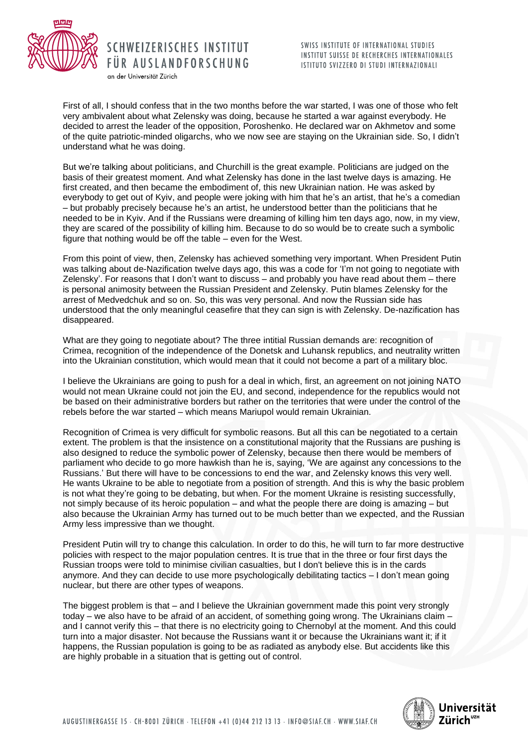

an der Universität Zürich

First of all, I should confess that in the two months before the war started, I was one of those who felt very ambivalent about what Zelensky was doing, because he started a war against everybody. He decided to arrest the leader of the opposition, Poroshenko. He declared war on Akhmetov and some of the quite patriotic-minded oligarchs, who we now see are staying on the Ukrainian side. So, I didn't understand what he was doing.

But we're talking about politicians, and Churchill is the great example. Politicians are judged on the basis of their greatest moment. And what Zelensky has done in the last twelve days is amazing. He first created, and then became the embodiment of, this new Ukrainian nation. He was asked by everybody to get out of Kyiv, and people were joking with him that he's an artist, that he's a comedian – but probably precisely because he's an artist, he understood better than the politicians that he needed to be in Kyiv. And if the Russians were dreaming of killing him ten days ago, now, in my view, they are scared of the possibility of killing him. Because to do so would be to create such a symbolic figure that nothing would be off the table – even for the West.

From this point of view, then, Zelensky has achieved something very important. When President Putin was talking about de-Nazification twelve days ago, this was a code for 'I'm not going to negotiate with Zelensky'. For reasons that I don't want to discuss – and probably you have read about them – there is personal animosity between the Russian President and Zelensky. Putin blames Zelensky for the arrest of Medvedchuk and so on. So, this was very personal. And now the Russian side has understood that the only meaningful ceasefire that they can sign is with Zelensky. De-nazification has disappeared.

What are they going to negotiate about? The three intitial Russian demands are: recognition of Crimea, recognition of the independence of the Donetsk and Luhansk republics, and neutrality written into the Ukrainian constitution, which would mean that it could not become a part of a military bloc.

I believe the Ukrainians are going to push for a deal in which, first, an agreement on not joining NATO would not mean Ukraine could not join the EU, and second, independence for the republics would not be based on their administrative borders but rather on the territories that were under the control of the rebels before the war started – which means Mariupol would remain Ukrainian.

Recognition of Crimea is very difficult for symbolic reasons. But all this can be negotiated to a certain extent. The problem is that the insistence on a constitutional majority that the Russians are pushing is also designed to reduce the symbolic power of Zelensky, because then there would be members of parliament who decide to go more hawkish than he is, saying, 'We are against any concessions to the Russians.' But there will have to be concessions to end the war, and Zelensky knows this very well. He wants Ukraine to be able to negotiate from a position of strength. And this is why the basic problem is not what they're going to be debating, but when. For the moment Ukraine is resisting successfully, not simply because of its heroic population – and what the people there are doing is amazing – but also because the Ukrainian Army has turned out to be much better than we expected, and the Russian Army less impressive than we thought.

President Putin will try to change this calculation. In order to do this, he will turn to far more destructive policies with respect to the major population centres. It is true that in the three or four first days the Russian troops were told to minimise civilian casualties, but I don't believe this is in the cards anymore. And they can decide to use more psychologically debilitating tactics – I don't mean going nuclear, but there are other types of weapons.

The biggest problem is that – and I believe the Ukrainian government made this point very strongly today – we also have to be afraid of an accident, of something going wrong. The Ukrainians claim – and I cannot verify this – that there is no electricity going to Chernobyl at the moment. And this could turn into a major disaster. Not because the Russians want it or because the Ukrainians want it; if it happens, the Russian population is going to be as radiated as anybody else. But accidents like this are highly probable in a situation that is getting out of control.

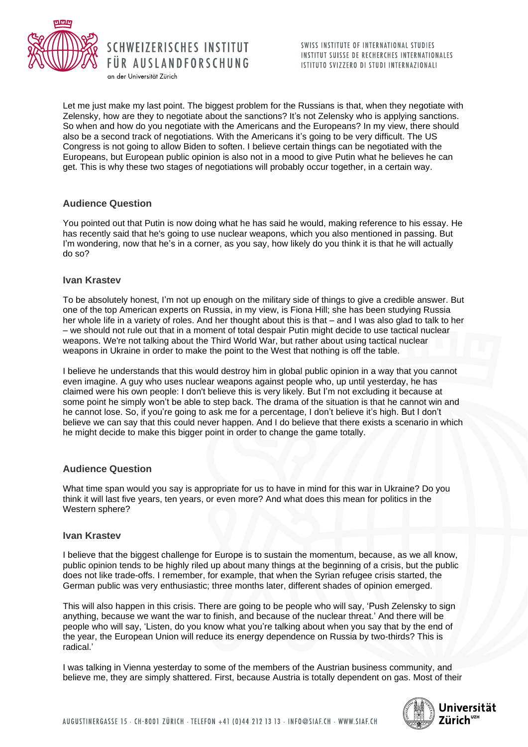

Let me just make my last point. The biggest problem for the Russians is that, when they negotiate with Zelensky, how are they to negotiate about the sanctions? It's not Zelensky who is applying sanctions. So when and how do you negotiate with the Americans and the Europeans? In my view, there should also be a second track of negotiations. With the Americans it's going to be very difficult. The US Congress is not going to allow Biden to soften. I believe certain things can be negotiated with the Europeans, but European public opinion is also not in a mood to give Putin what he believes he can get. This is why these two stages of negotiations will probably occur together, in a certain way.

SCHWEIZERISCHES INSTITUT

FÜR AUSLANDFORSCHUNG

an der Universität Zürich

## **Audience Question**

You pointed out that Putin is now doing what he has said he would, making reference to his essay. He has recently said that he's going to use nuclear weapons, which you also mentioned in passing. But I'm wondering, now that he's in a corner, as you say, how likely do you think it is that he will actually do so?

## **Ivan Krastev**

To be absolutely honest, I'm not up enough on the military side of things to give a credible answer. But one of the top American experts on Russia, in my view, is Fiona Hill; she has been studying Russia her whole life in a variety of roles. And her thought about this is that – and I was also glad to talk to her – we should not rule out that in a moment of total despair Putin might decide to use tactical nuclear weapons. We're not talking about the Third World War, but rather about using tactical nuclear weapons in Ukraine in order to make the point to the West that nothing is off the table.

I believe he understands that this would destroy him in global public opinion in a way that you cannot even imagine. A guy who uses nuclear weapons against people who, up until yesterday, he has claimed were his own people: I don't believe this is very likely. But I'm not excluding it because at some point he simply won't be able to step back. The drama of the situation is that he cannot win and he cannot lose. So, if you're going to ask me for a percentage, I don't believe it's high. But I don't believe we can say that this could never happen. And I do believe that there exists a scenario in which he might decide to make this bigger point in order to change the game totally.

## **Audience Question**

What time span would you say is appropriate for us to have in mind for this war in Ukraine? Do you think it will last five years, ten years, or even more? And what does this mean for politics in the Western sphere?

## **Ivan Krastev**

I believe that the biggest challenge for Europe is to sustain the momentum, because, as we all know, public opinion tends to be highly riled up about many things at the beginning of a crisis, but the public does not like trade-offs. I remember, for example, that when the Syrian refugee crisis started, the German public was very enthusiastic; three months later, different shades of opinion emerged.

This will also happen in this crisis. There are going to be people who will say, 'Push Zelensky to sign anything, because we want the war to finish, and because of the nuclear threat.' And there will be people who will say, 'Listen, do you know what you're talking about when you say that by the end of the year, the European Union will reduce its energy dependence on Russia by two-thirds? This is radical.'

I was talking in Vienna yesterday to some of the members of the Austrian business community, and believe me, they are simply shattered. First, because Austria is totally dependent on gas. Most of their

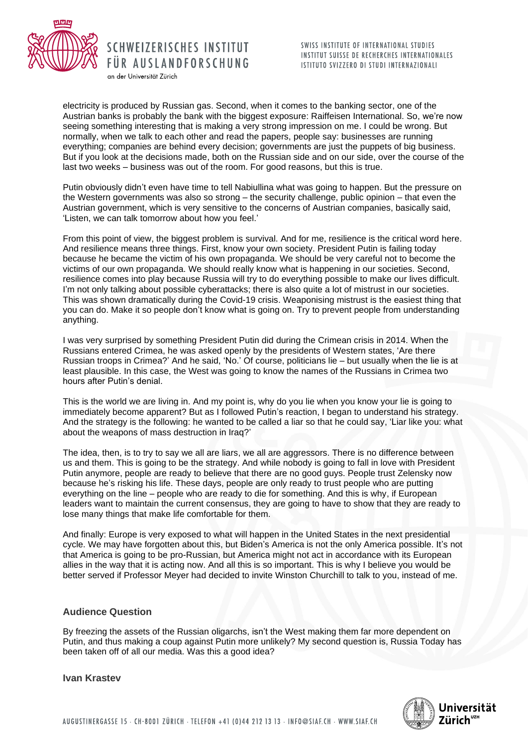

an der Universität Zürich

electricity is produced by Russian gas. Second, when it comes to the banking sector, one of the Austrian banks is probably the bank with the biggest exposure: Raiffeisen International. So, we're now seeing something interesting that is making a very strong impression on me. I could be wrong. But normally, when we talk to each other and read the papers, people say: businesses are running everything; companies are behind every decision; governments are just the puppets of big business. But if you look at the decisions made, both on the Russian side and on our side, over the course of the last two weeks – business was out of the room. For good reasons, but this is true.

Putin obviously didn't even have time to tell Nabiullina what was going to happen. But the pressure on the Western governments was also so strong – the security challenge, public opinion – that even the Austrian government, which is very sensitive to the concerns of Austrian companies, basically said, 'Listen, we can talk tomorrow about how you feel.'

From this point of view, the biggest problem is survival. And for me, resilience is the critical word here. And resilience means three things. First, know your own society. President Putin is failing today because he became the victim of his own propaganda. We should be very careful not to become the victims of our own propaganda. We should really know what is happening in our societies. Second, resilience comes into play because Russia will try to do everything possible to make our lives difficult. I'm not only talking about possible cyberattacks; there is also quite a lot of mistrust in our societies. This was shown dramatically during the Covid-19 crisis. Weaponising mistrust is the easiest thing that you can do. Make it so people don't know what is going on. Try to prevent people from understanding anything.

I was very surprised by something President Putin did during the Crimean crisis in 2014. When the Russians entered Crimea, he was asked openly by the presidents of Western states, 'Are there Russian troops in Crimea?' And he said, 'No.' Of course, politicians lie – but usually when the lie is at least plausible. In this case, the West was going to know the names of the Russians in Crimea two hours after Putin's denial.

This is the world we are living in. And my point is, why do you lie when you know your lie is going to immediately become apparent? But as I followed Putin's reaction, I began to understand his strategy. And the strategy is the following: he wanted to be called a liar so that he could say, 'Liar like you: what about the weapons of mass destruction in Iraq?'

The idea, then, is to try to say we all are liars, we all are aggressors. There is no difference between us and them. This is going to be the strategy. And while nobody is going to fall in love with President Putin anymore, people are ready to believe that there are no good guys. People trust Zelensky now because he's risking his life. These days, people are only ready to trust people who are putting everything on the line – people who are ready to die for something. And this is why, if European leaders want to maintain the current consensus, they are going to have to show that they are ready to lose many things that make life comfortable for them.

And finally: Europe is very exposed to what will happen in the United States in the next presidential cycle. We may have forgotten about this, but Biden's America is not the only America possible. It's not that America is going to be pro-Russian, but America might not act in accordance with its European allies in the way that it is acting now. And all this is so important. This is why I believe you would be better served if Professor Meyer had decided to invite Winston Churchill to talk to you, instead of me.

## **Audience Question**

By freezing the assets of the Russian oligarchs, isn't the West making them far more dependent on Putin, and thus making a coup against Putin more unlikely? My second question is, Russia Today has been taken off of all our media. Was this a good idea?

**Ivan Krastev** 

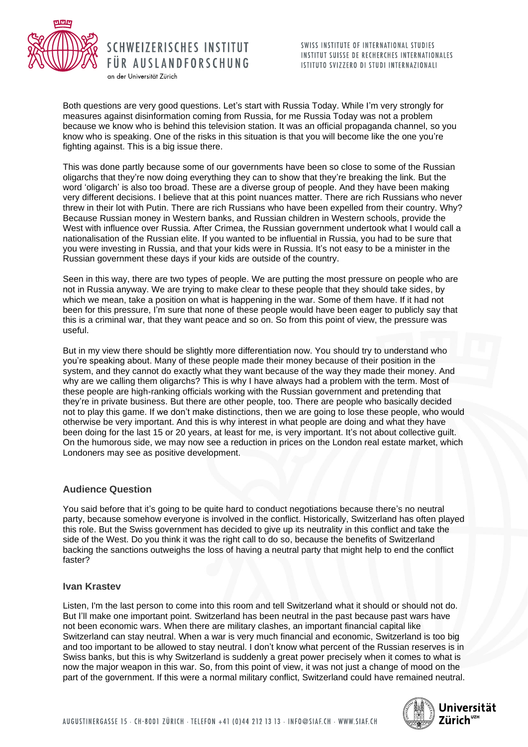

an der Universität Zürich

SWISS INSTITUTE OF INTERNATIONAL STUDIES INSTITUT SUISSE DE RECHERCHES INTERNATIONALES ISTITUTO SVIZZERO DI STUDI INTERNAZIONALI

Both questions are very good questions. Let's start with Russia Today. While I'm very strongly for measures against disinformation coming from Russia, for me Russia Today was not a problem because we know who is behind this television station. It was an official propaganda channel, so you know who is speaking. One of the risks in this situation is that you will become like the one you're fighting against. This is a big issue there.

This was done partly because some of our governments have been so close to some of the Russian oligarchs that they're now doing everything they can to show that they're breaking the link. But the word 'oligarch' is also too broad. These are a diverse group of people. And they have been making very different decisions. I believe that at this point nuances matter. There are rich Russians who never threw in their lot with Putin. There are rich Russians who have been expelled from their country. Why? Because Russian money in Western banks, and Russian children in Western schools, provide the West with influence over Russia. After Crimea, the Russian government undertook what I would call a nationalisation of the Russian elite. If you wanted to be influential in Russia, you had to be sure that you were investing in Russia, and that your kids were in Russia. It's not easy to be a minister in the Russian government these days if your kids are outside of the country.

Seen in this way, there are two types of people. We are putting the most pressure on people who are not in Russia anyway. We are trying to make clear to these people that they should take sides, by which we mean, take a position on what is happening in the war. Some of them have. If it had not been for this pressure, I'm sure that none of these people would have been eager to publicly say that this is a criminal war, that they want peace and so on. So from this point of view, the pressure was useful.

But in my view there should be slightly more differentiation now. You should try to understand who you're speaking about. Many of these people made their money because of their position in the system, and they cannot do exactly what they want because of the way they made their money. And why are we calling them oligarchs? This is why I have always had a problem with the term. Most of these people are high-ranking officials working with the Russian government and pretending that they're in private business. But there are other people, too. There are people who basically decided not to play this game. If we don't make distinctions, then we are going to lose these people, who would otherwise be very important. And this is why interest in what people are doing and what they have been doing for the last 15 or 20 years, at least for me, is very important. It's not about collective guilt. On the humorous side, we may now see a reduction in prices on the London real estate market, which Londoners may see as positive development.

## **Audience Question**

You said before that it's going to be quite hard to conduct negotiations because there's no neutral party, because somehow everyone is involved in the conflict. Historically, Switzerland has often played this role. But the Swiss government has decided to give up its neutrality in this conflict and take the side of the West. Do you think it was the right call to do so, because the benefits of Switzerland backing the sanctions outweighs the loss of having a neutral party that might help to end the conflict faster?

## **Ivan Krastev**

Listen, I'm the last person to come into this room and tell Switzerland what it should or should not do. But I'll make one important point. Switzerland has been neutral in the past because past wars have not been economic wars. When there are military clashes, an important financial capital like Switzerland can stay neutral. When a war is very much financial and economic, Switzerland is too big and too important to be allowed to stay neutral. I don't know what percent of the Russian reserves is in Swiss banks, but this is why Switzerland is suddenly a great power precisely when it comes to what is now the major weapon in this war. So, from this point of view, it was not just a change of mood on the part of the government. If this were a normal military conflict, Switzerland could have remained neutral.

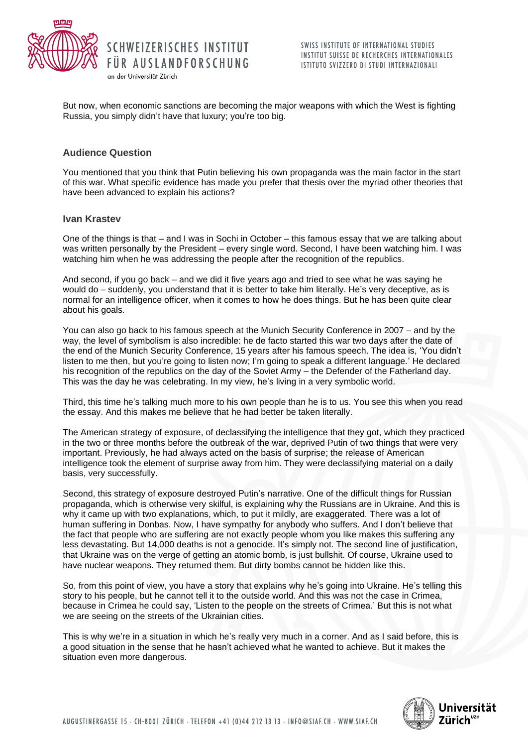

But now, when economic sanctions are becoming the major weapons with which the West is fighting Russia, you simply didn't have that luxury; you're too big.

## **Audience Question**

You mentioned that you think that Putin believing his own propaganda was the main factor in the start of this war. What specific evidence has made you prefer that thesis over the myriad other theories that have been advanced to explain his actions?

### **Ivan Krastev**

One of the things is that – and I was in Sochi in October – this famous essay that we are talking about was written personally by the President – every single word. Second, I have been watching him. I was watching him when he was addressing the people after the recognition of the republics.

And second, if you go back – and we did it five years ago and tried to see what he was saying he would do – suddenly, you understand that it is better to take him literally. He's very deceptive, as is normal for an intelligence officer, when it comes to how he does things. But he has been quite clear about his goals.

You can also go back to his famous speech at the Munich Security Conference in 2007 – and by the way, the level of symbolism is also incredible: he de facto started this war two days after the date of the end of the Munich Security Conference, 15 years after his famous speech. The idea is, 'You didn't listen to me then, but you're going to listen now; I'm going to speak a different language.' He declared his recognition of the republics on the day of the Soviet Army – the Defender of the Fatherland day. This was the day he was celebrating. In my view, he's living in a very symbolic world.

Third, this time he's talking much more to his own people than he is to us. You see this when you read the essay. And this makes me believe that he had better be taken literally.

The American strategy of exposure, of declassifying the intelligence that they got, which they practiced in the two or three months before the outbreak of the war, deprived Putin of two things that were very important. Previously, he had always acted on the basis of surprise; the release of American intelligence took the element of surprise away from him. They were declassifying material on a daily basis, very successfully.

Second, this strategy of exposure destroyed Putin's narrative. One of the difficult things for Russian propaganda, which is otherwise very skilful, is explaining why the Russians are in Ukraine. And this is why it came up with two explanations, which, to put it mildly, are exaggerated. There was a lot of human suffering in Donbas. Now, I have sympathy for anybody who suffers. And I don't believe that the fact that people who are suffering are not exactly people whom you like makes this suffering any less devastating. But 14,000 deaths is not a genocide. It's simply not. The second line of justification, that Ukraine was on the verge of getting an atomic bomb, is just bullshit. Of course, Ukraine used to have nuclear weapons. They returned them. But dirty bombs cannot be hidden like this.

So, from this point of view, you have a story that explains why he's going into Ukraine. He's telling this story to his people, but he cannot tell it to the outside world. And this was not the case in Crimea, because in Crimea he could say, 'Listen to the people on the streets of Crimea.' But this is not what we are seeing on the streets of the Ukrainian cities.

This is why we're in a situation in which he's really very much in a corner. And as I said before, this is a good situation in the sense that he hasn't achieved what he wanted to achieve. But it makes the situation even more dangerous.